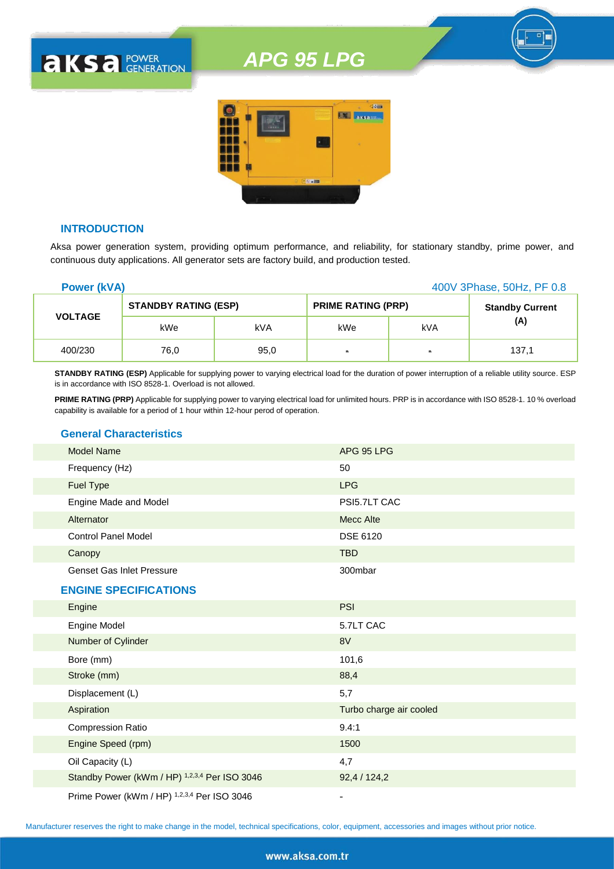

#### **INTRODUCTION**

**AKSA POWER** 

Aksa power generation system, providing optimum performance, and reliability, for stationary standby, prime power, and continuous duty applications. All generator sets are factory build, and production tested.

| <b>Power (kVA)</b> |                             |      |                           | 400V 3Phase, 50Hz, PF 0.8 |                        |
|--------------------|-----------------------------|------|---------------------------|---------------------------|------------------------|
|                    | <b>STANDBY RATING (ESP)</b> |      | <b>PRIME RATING (PRP)</b> |                           | <b>Standby Current</b> |
| <b>VOLTAGE</b>     | kWe                         | kVA  | kWe                       | kVA                       | (A)                    |
| 400/230            | 76,0                        | 95,0 | $\blacksquare$            | $\blacksquare$            | 137.1                  |

**STANDBY RATING (ESP)** Applicable for supplying power to varying electrical load for the duration of power interruption of a reliable utility source. ESP is in accordance with ISO 8528-1. Overload is not allowed.

**PRIME RATING (PRP)** Applicable for supplying power to varying electrical load for unlimited hours. PRP is in accordance with ISO 8528-1. 10 % overload capability is available for a period of 1 hour within 12-hour perod of operation.

#### **General Characteristics**

| <b>Model Name</b>                | APG 95 LPG   |  |
|----------------------------------|--------------|--|
| Frequency (Hz)                   | 50           |  |
| <b>Fuel Type</b>                 | <b>LPG</b>   |  |
| Engine Made and Model            | PSI5.7LT CAC |  |
| Alternator                       | Mecc Alte    |  |
| <b>Control Panel Model</b>       | DSE 6120     |  |
| Canopy                           | <b>TBD</b>   |  |
| <b>Genset Gas Inlet Pressure</b> | 300mbar      |  |

#### **ENGINE SPECIFICATIONS**

| Engine                                        | <b>PSI</b>              |
|-----------------------------------------------|-------------------------|
| Engine Model                                  | 5.7LT CAC               |
| Number of Cylinder                            | 8V                      |
| Bore (mm)                                     | 101,6                   |
| Stroke (mm)                                   | 88,4                    |
| Displacement (L)                              | 5,7                     |
| Aspiration                                    | Turbo charge air cooled |
| <b>Compression Ratio</b>                      | 9.4:1                   |
| Engine Speed (rpm)                            | 1500                    |
| Oil Capacity (L)                              | 4,7                     |
| Standby Power (kWm / HP) 1,2,3,4 Per ISO 3046 | 92,4/124,2              |
| Prime Power (kWm / HP) 1,2,3,4 Per ISO 3046   |                         |

Manufacturer reserves the right to make change in the model, technical specifications, color, equipment, accessories and images without prior notice.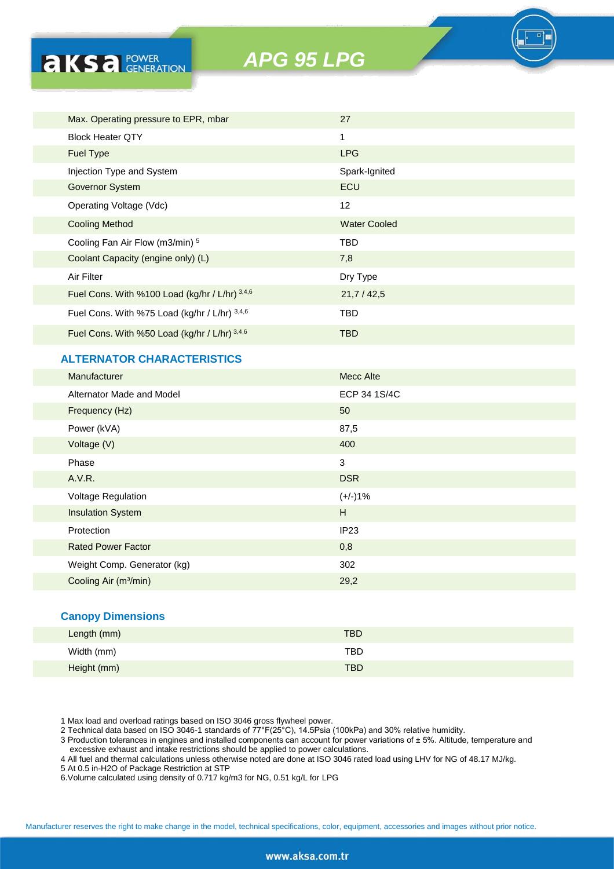

## **ALTERNATOR CHARACTERISTICS**

**AKSA POWER** 

| Manufacturer                      | <b>Mecc Alte</b> |
|-----------------------------------|------------------|
| Alternator Made and Model         | ECP 34 1S/4C     |
| Frequency (Hz)                    | 50               |
| Power (kVA)                       | 87,5             |
| Voltage (V)                       | 400              |
| Phase                             | 3                |
| A.V.R.                            | <b>DSR</b>       |
| Voltage Regulation                | $(+/-)1%$        |
| <b>Insulation System</b>          | H                |
| Protection                        | IP23             |
| <b>Rated Power Factor</b>         | 0,8              |
| Weight Comp. Generator (kg)       | 302              |
| Cooling Air (m <sup>3</sup> /min) | 29,2             |
|                                   |                  |

#### **Canopy Dimensions**

| Length (mm) | <b>TBD</b> |
|-------------|------------|
| Width (mm)  | <b>TBD</b> |
| Height (mm) | <b>TBD</b> |

1 Max load and overload ratings based on ISO 3046 gross flywheel power.

2 Technical data based on ISO 3046-1 standards of 77°F(25°C), 14.5Psia (100kPa) and 30% relative humidity.

3 Production tolerances in engines and installed components can account for power variations of ± 5%. Altitude, temperature and excessive exhaust and intake restrictions should be applied to power calculations.

4 All fuel and thermal calculations unless otherwise noted are done at ISO 3046 rated load using LHV for NG of 48.17 MJ/kg.

5 At 0.5 in-H2O of Package Restriction at STP

6.Volume calculated using density of 0.717 kg/m3 for NG, 0.51 kg/L for LPG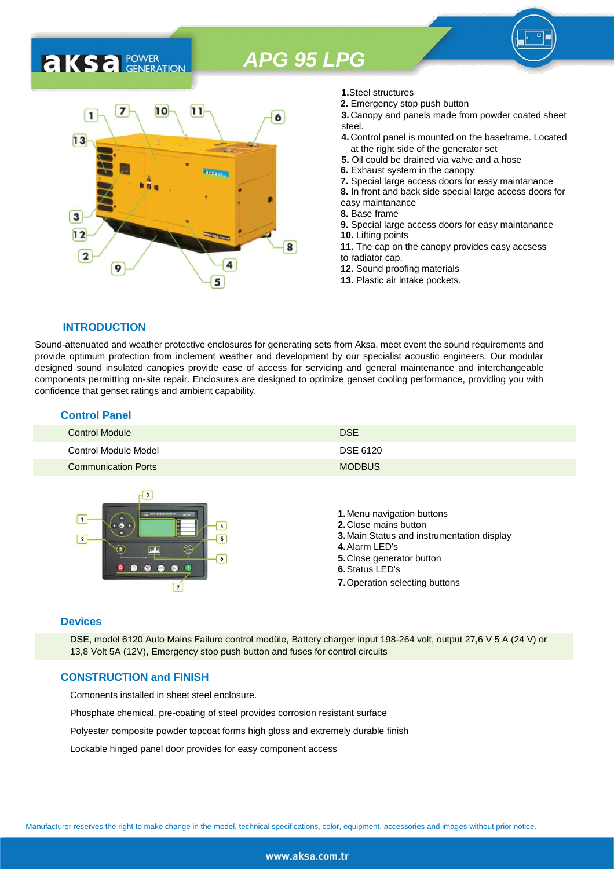## 7  $10$  $11$ 1 6  $13$ 3  $12$ 8  $\overline{2}$ 4 9 5

- **1.**Steel structures
- **2.** Emergency stop push button
- **3.** Canopy and panels made from powder coated sheet steel.
- **4.** Control panel is mounted on the baseframe. Located at the right side of the generator set
- **5.** Oil could be drained via valve and a hose
- **6.** Exhaust system in the canopy
- **7.** Special large access doors for easy maintanance
- **8.** In front and back side special large access doors for
- easy maintanance
- **8.** Base frame

**9.** Special large access doors for easy maintanance **10.** Lifting points **11.** The cap on the canopy provides easy accsess

- to radiator cap.
- **12.** Sound proofing materials
- **13.** Plastic air intake pockets.

#### **INTRODUCTION**

**AKSA** POWER

Sound-attenuated and weather protective enclosures for generating sets from Aksa, meet event the sound requirements and provide optimum protection from inclement weather and development by our specialist acoustic engineers. Our modular designed sound insulated canopies provide ease of access for servicing and general maintenance and interchangeable components permitting on-site repair. Enclosures are designed to optimize genset cooling performance, providing you with confidence that genset ratings and ambient capability.

| <b>Control Panel</b>       |               |  |
|----------------------------|---------------|--|
| Control Module             | <b>DSE</b>    |  |
| Control Module Model       | DSE 6120      |  |
| <b>Communication Ports</b> | <b>MODBUS</b> |  |



#### **Devices**

DSE, model 6120 Auto Mains Failure control modüle, Battery charger input 198-264 volt, output 27,6 V 5 A (24 V) or 13,8 Volt 5A (12V), Emergency stop push button and fuses for control circuits

#### **CONSTRUCTION and FINISH**

Comonents installed in sheet steel enclosure.

Phosphate chemical, pre-coating of steel provides corrosion resistant surface

Polyester composite powder topcoat forms high gloss and extremely durable finish

Lockable hinged panel door provides for easy component access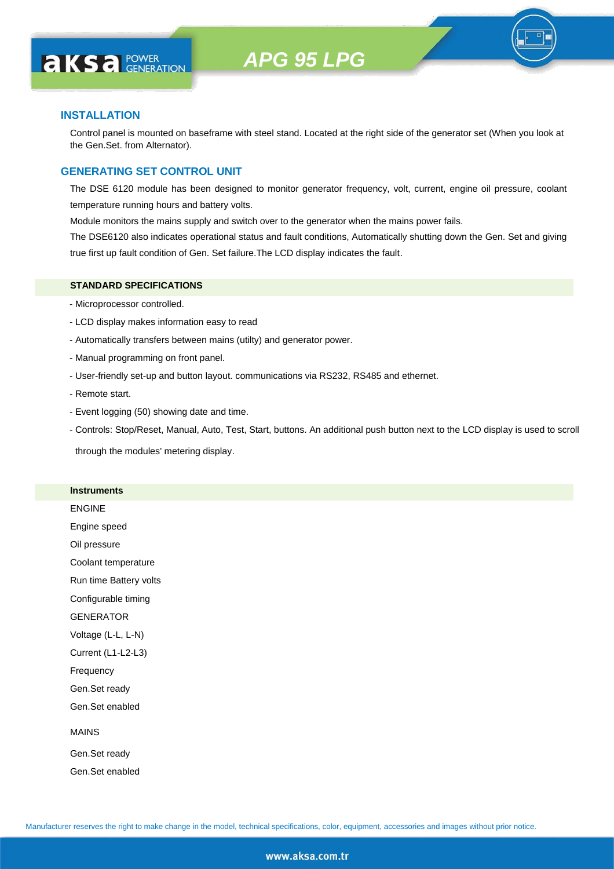

#### **INSTALLATION**

**AKS** *C C <b>C GENERATION* 

Control panel is mounted on baseframe with steel stand. Located at the right side of the generator set (When you look at the Gen.Set. from Alternator).

#### **GENERATING SET CONTROL UNIT**

The DSE 6120 module has been designed to monitor generator frequency, volt, current, engine oil pressure, coolant temperature running hours and battery volts.

Module monitors the mains supply and switch over to the generator when the mains power fails.

The DSE6120 also indicates operational status and fault conditions, Automatically shutting down the Gen. Set and giving true first up fault condition of Gen. Set failure.The LCD display indicates the fault.

#### **STANDARD SPECIFICATIONS**

- Microprocessor controlled.
- LCD display makes information easy to read
- Automatically transfers between mains (utilty) and generator power.
- Manual programming on front panel.
- User-friendly set-up and button layout. communications via RS232, RS485 and ethernet.
- Remote start.
- Event logging (50) showing date and time.
- Controls: Stop/Reset, Manual, Auto, Test, Start, buttons. An additional push button next to the LCD display is used to scroll

through the modules' metering display.

#### **Instruments**

ENGINE

Engine speed

Oil pressure

Coolant temperature

Run time Battery volts

Configurable timing

GENERATOR

Voltage (L-L, L-N)

Current (L1-L2-L3)

Frequency

Gen.Set ready

Gen.Set enabled

#### MAINS

Gen.Set ready Gen.Set enabled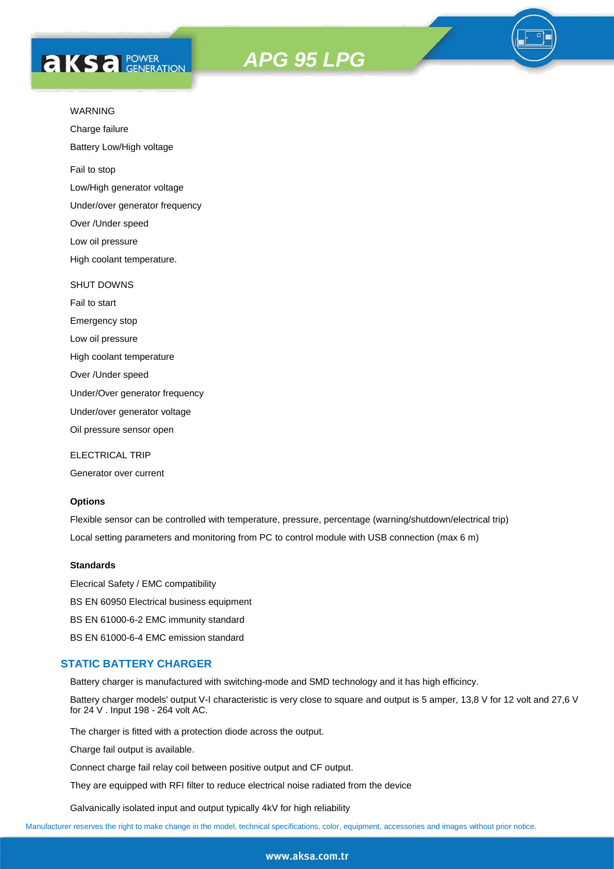# **AKS** *C C <b>C GENERATION*





Charge failure

Battery Low/High voltage

Fail to stop

Low/High generator voltage

Under/over generator frequency

Over /Under speed

Low oil pressure

High coolant temperature.

#### SHUT DOWNS

Fail to start Emergency stop

Low oil pressure

High coolant temperature

Over /Under speed

Under/Over generator frequency

Under/over generator voltage

Oil pressure sensor open

ELECTRICAL TRIP

Generator over current

#### **Options**

Flexible sensor can be controlled with temperature, pressure, percentage (warning/shutdown/electrical trip) Local setting parameters and monitoring from PC to control module with USB connection (max 6 m)

#### **Standards**

Elecrical Safety / EMC compatibility BS EN 60950 Electrical business equipment BS EN 61000-6-2 EMC immunity standard BS EN 61000-6-4 EMC emission standard

#### **STATIC BATTERY CHARGER**

Battery charger is manufactured with switching-mode and SMD technology and it has high efficincy.

Battery charger models' output V-I characteristic is very close to square and output is 5 amper, 13,8 V for 12 volt and 27,6 V for 24 V . Input 198 - 264 volt AC.

The charger is fitted with a protection diode across the output.

Charge fail output is available.

Connect charge fail relay coil between positive output and CF output.

They are equipped with RFI filter to reduce electrical noise radiated from the device

Galvanically isolated input and output typically 4kV for high reliability

Manufacturer reserves the right to make change in the model, technical specifications, color, equipment, accessories and images without prior notice.